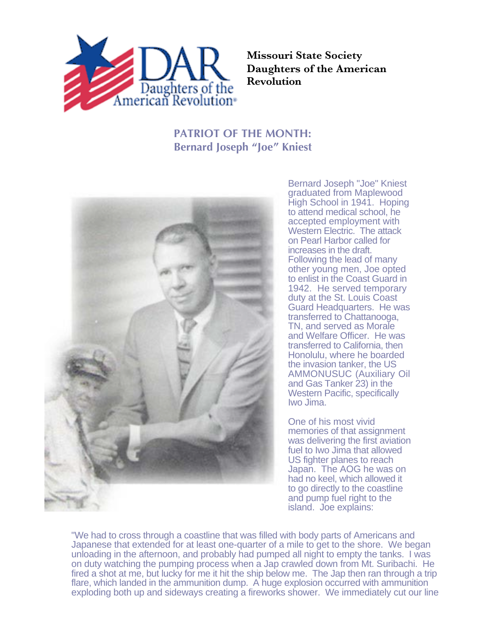

**Missouri State Society Daughters of the American Revolution**

## **PATRIOT OF THE MONTH: Bernard Joseph "Joe" Kniest**



Bernard Joseph "Joe" Kniest graduated from Maplewood High School in 1941. Hoping to attend medical school, he accepted employment with Western Electric. The attack on Pearl Harbor called for increases in the draft. Following the lead of many other young men, Joe opted to enlist in the Coast Guard in 1942. He served temporary duty at the St. Louis Coast Guard Headquarters. He was transferred to Chattanooga, TN, and served as Morale and Welfare Officer. He was transferred to California, then Honolulu, where he boarded the invasion tanker, the US AMMONUSUC (Auxiliary Oil and Gas Tanker 23) in the Western Pacific, specifically Iwo Jima.

One of his most vivid memories of that assignment was delivering the first aviation fuel to Iwo Jima that allowed US fighter planes to reach Japan. The AOG he was on had no keel, which allowed it to go directly to the coastline and pump fuel right to the island. Joe explains:

"We had to cross through a coastline that was filled with body parts of Americans and Japanese that extended for at least one-quarter of a mile to get to the shore. We began unloading in the afternoon, and probably had pumped all night to empty the tanks. I was on duty watching the pumping process when a Jap crawled down from Mt. Suribachi. He fired a shot at me, but lucky for me it hit the ship below me. The Jap then ran through a trip flare, which landed in the ammunition dump. A huge explosion occurred with ammunition exploding both up and sideways creating a fireworks shower. We immediately cut our line